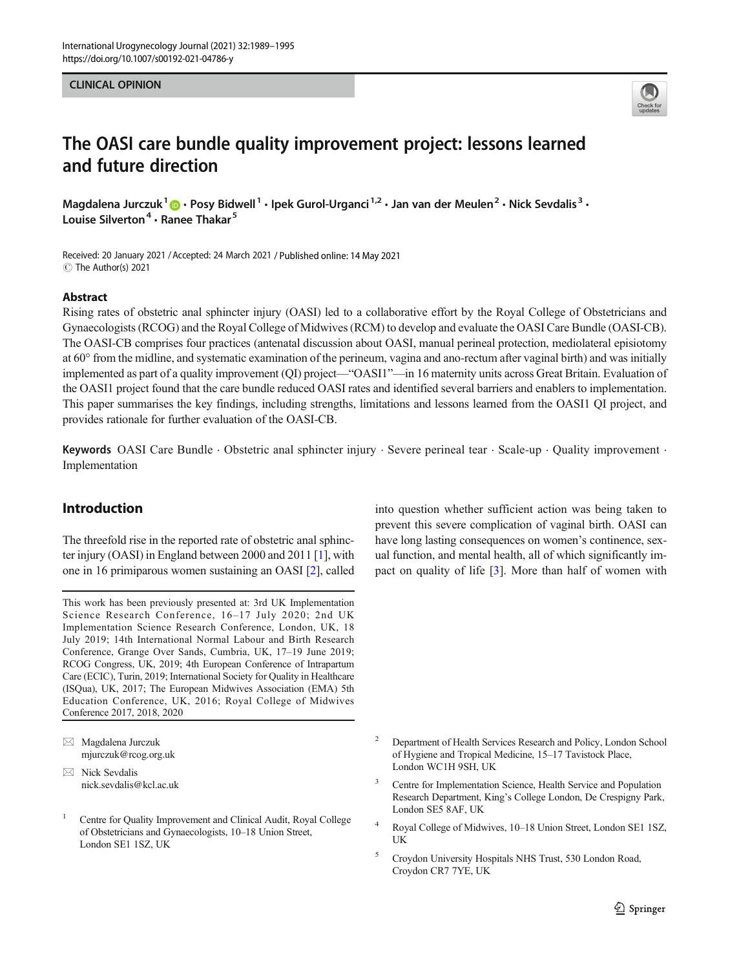CLINICAL OPINION



# The OASI care bundle quality improvement project: lessons learned and future direction

Magdalena Jurczuk<sup>1</sup>  $\cdot$  Posy Bidwell<sup>1</sup>  $\cdot$  Ipek Gurol-Urganci<sup>1,2</sup>  $\cdot$  Jan van der Meulen<sup>2</sup>  $\cdot$  Nick Sevdalis<sup>3</sup>  $\cdot$ Louise Silverton<sup>4</sup>  $\cdot$  Ranee Thakar<sup>5</sup>

Received: 20 January 2021 /Accepted: 24 March 2021 / Published online: 14 May 2021 C The Author(s) 2021

#### Abstract

Rising rates of obstetric anal sphincter injury (OASI) led to a collaborative effort by the Royal College of Obstetricians and Gynaecologists (RCOG) and the Royal College of Midwives (RCM) to develop and evaluate the OASI Care Bundle (OASI-CB). The OASI-CB comprises four practices (antenatal discussion about OASI, manual perineal protection, mediolateral episiotomy at 60° from the midline, and systematic examination of the perineum, vagina and ano-rectum after vaginal birth) and was initially implemented as part of a quality improvement (QI) project—"OASI1"—in 16 maternity units across Great Britain. Evaluation of the OASI1 project found that the care bundle reduced OASI rates and identified several barriers and enablers to implementation. This paper summarises the key findings, including strengths, limitations and lessons learned from the OASI1 QI project, and provides rationale for further evaluation of the OASI-CB.

Keywords OASI Care Bundle · Obstetric anal sphincter injury · Severe perineal tear · Scale-up · Quality improvement · Implementation

# Introduction

The threefold rise in the reported rate of obstetric anal sphincter injury (OASI) in England between 2000 and 2011 [\[1](#page-6-0)], with one in 16 primiparous women sustaining an OASI [\[2\]](#page-6-0), called

This work has been previously presented at: 3rd UK Implementation Science Research Conference, 16–17 July 2020; 2nd UK Implementation Science Research Conference, London, UK, 18 July 2019; 14th International Normal Labour and Birth Research Conference, Grange Over Sands, Cumbria, UK, 17–19 June 2019; RCOG Congress, UK, 2019; 4th European Conference of Intrapartum Care (ECIC), Turin, 2019; International Society for Quality in Healthcare (ISQua), UK, 2017; The European Midwives Association (EMA) 5th Education Conference, UK, 2016; Royal College of Midwives Conference 2017, 2018, 2020

 $\boxtimes$  Magdalena Jurczuk [mjurczuk@rcog.org.uk](mailto:mjurczuk@rcog.org.uk)

<sup>1</sup> Centre for Quality Improvement and Clinical Audit, Royal College of Obstetricians and Gynaecologists, 10–18 Union Street, London SE1 1SZ, UK

into question whether sufficient action was being taken to prevent this severe complication of vaginal birth. OASI can have long lasting consequences on women's continence, sexual function, and mental health, all of which significantly impact on quality of life [[3\]](#page-6-0). More than half of women with

- <sup>2</sup> Department of Health Services Research and Policy, London School of Hygiene and Tropical Medicine, 15–17 Tavistock Place, London WC1H 9SH, UK
- Centre for Implementation Science, Health Service and Population Research Department, King's College London, De Crespigny Park, London SE5 8AF, UK
- <sup>4</sup> Royal College of Midwives, 10–18 Union Street, London SE1 1SZ, UK
- <sup>5</sup> Croydon University Hospitals NHS Trust, 530 London Road, Croydon CR7 7YE, UK

 $\boxtimes$  Nick Sevdalis [nick.sevdalis@kcl.ac.uk](mailto:nick.sevdalis@kcl.ac.uk)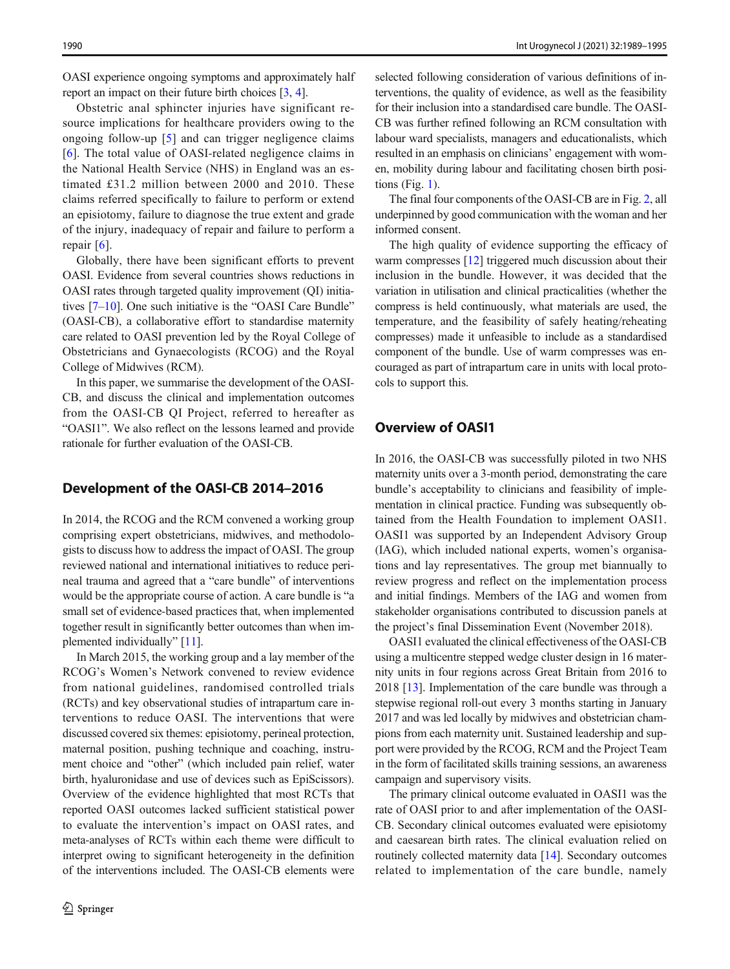OASI experience ongoing symptoms and approximately half report an impact on their future birth choices [\[3](#page-6-0), [4](#page-6-0)].

Obstetric anal sphincter injuries have significant resource implications for healthcare providers owing to the ongoing follow-up [\[5\]](#page-6-0) and can trigger negligence claims [\[6](#page-6-0)]. The total value of OASI-related negligence claims in the National Health Service (NHS) in England was an estimated £31.2 million between 2000 and 2010. These claims referred specifically to failure to perform or extend an episiotomy, failure to diagnose the true extent and grade of the injury, inadequacy of repair and failure to perform a repair [[6\]](#page-6-0).

Globally, there have been significant efforts to prevent OASI. Evidence from several countries shows reductions in OASI rates through targeted quality improvement (QI) initiatives [\[7](#page-6-0)–[10\]](#page-6-0). One such initiative is the "OASI Care Bundle" (OASI-CB), a collaborative effort to standardise maternity care related to OASI prevention led by the Royal College of Obstetricians and Gynaecologists (RCOG) and the Royal College of Midwives (RCM).

In this paper, we summarise the development of the OASI-CB, and discuss the clinical and implementation outcomes from the OASI-CB QI Project, referred to hereafter as "OASI1". We also reflect on the lessons learned and provide rationale for further evaluation of the OASI-CB.

## Development of the OASI-CB 2014–2016

In 2014, the RCOG and the RCM convened a working group comprising expert obstetricians, midwives, and methodologists to discuss how to address the impact of OASI. The group reviewed national and international initiatives to reduce perineal trauma and agreed that a "care bundle" of interventions would be the appropriate course of action. A care bundle is "a small set of evidence-based practices that, when implemented together result in significantly better outcomes than when implemented individually" [[11](#page-6-0)].

In March 2015, the working group and a lay member of the RCOG's Women's Network convened to review evidence from national guidelines, randomised controlled trials (RCTs) and key observational studies of intrapartum care interventions to reduce OASI. The interventions that were discussed covered six themes: episiotomy, perineal protection, maternal position, pushing technique and coaching, instrument choice and "other" (which included pain relief, water birth, hyaluronidase and use of devices such as EpiScissors). Overview of the evidence highlighted that most RCTs that reported OASI outcomes lacked sufficient statistical power to evaluate the intervention's impact on OASI rates, and meta-analyses of RCTs within each theme were difficult to interpret owing to significant heterogeneity in the definition of the interventions included. The OASI-CB elements were selected following consideration of various definitions of interventions, the quality of evidence, as well as the feasibility for their inclusion into a standardised care bundle. The OASI-CB was further refined following an RCM consultation with labour ward specialists, managers and educationalists, which resulted in an emphasis on clinicians' engagement with women, mobility during labour and facilitating chosen birth positions (Fig.  $1$ ).

The final four components of the OASI-CB are in Fig. [2](#page-2-0), all underpinned by good communication with the woman and her informed consent.

The high quality of evidence supporting the efficacy of warm compresses [\[12](#page-6-0)] triggered much discussion about their inclusion in the bundle. However, it was decided that the variation in utilisation and clinical practicalities (whether the compress is held continuously, what materials are used, the temperature, and the feasibility of safely heating/reheating compresses) made it unfeasible to include as a standardised component of the bundle. Use of warm compresses was encouraged as part of intrapartum care in units with local protocols to support this.

# Overview of OASI1

In 2016, the OASI-CB was successfully piloted in two NHS maternity units over a 3-month period, demonstrating the care bundle's acceptability to clinicians and feasibility of implementation in clinical practice. Funding was subsequently obtained from the Health Foundation to implement OASI1. OASI1 was supported by an Independent Advisory Group (IAG), which included national experts, women's organisations and lay representatives. The group met biannually to review progress and reflect on the implementation process and initial findings. Members of the IAG and women from stakeholder organisations contributed to discussion panels at the project's final Dissemination Event (November 2018).

OASI1 evaluated the clinical effectiveness of the OASI-CB using a multicentre stepped wedge cluster design in 16 maternity units in four regions across Great Britain from 2016 to 2018 [[13\]](#page-6-0). Implementation of the care bundle was through a stepwise regional roll-out every 3 months starting in January 2017 and was led locally by midwives and obstetrician champions from each maternity unit. Sustained leadership and support were provided by the RCOG, RCM and the Project Team in the form of facilitated skills training sessions, an awareness campaign and supervisory visits.

The primary clinical outcome evaluated in OASI1 was the rate of OASI prior to and after implementation of the OASI-CB. Secondary clinical outcomes evaluated were episiotomy and caesarean birth rates. The clinical evaluation relied on routinely collected maternity data [\[14](#page-6-0)]. Secondary outcomes related to implementation of the care bundle, namely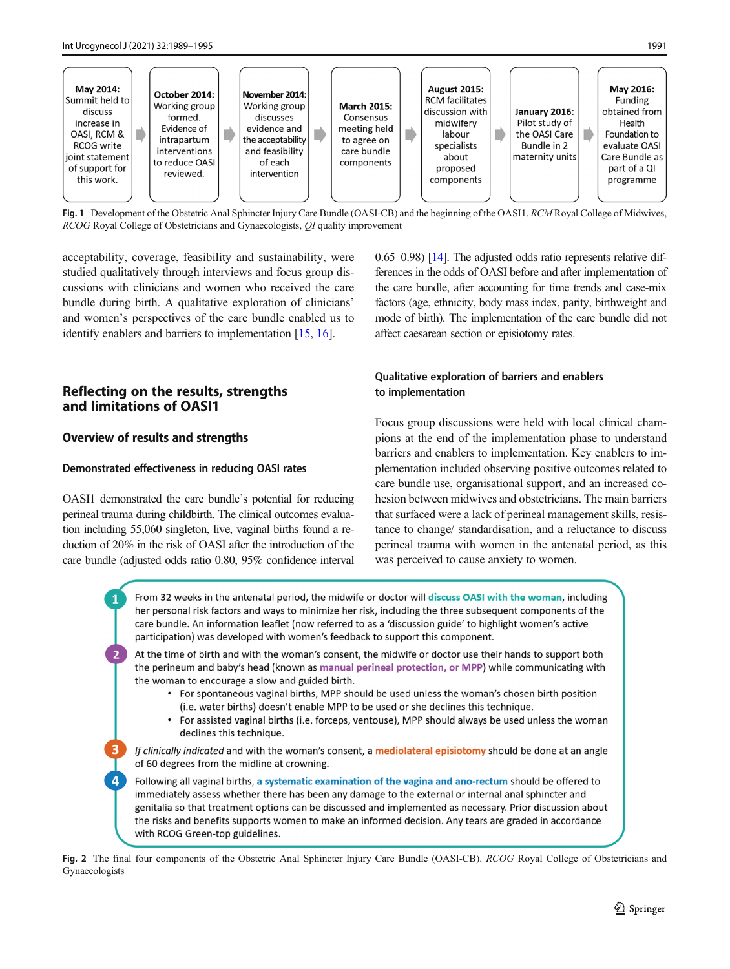<span id="page-2-0"></span>

Fig. 1 Development of the Obstetric Anal Sphincter Injury Care Bundle (OASI-CB) and the beginning of the OASI1. RCM Royal College of Midwives, RCOG Royal College of Obstetricians and Gynaecologists, QI quality improvement

acceptability, coverage, feasibility and sustainability, were studied qualitatively through interviews and focus group discussions with clinicians and women who received the care bundle during birth. A qualitative exploration of clinicians' and women's perspectives of the care bundle enabled us to identify enablers and barriers to implementation [\[15](#page-6-0), [16](#page-6-0)].

## Reflecting on the results, strengths and limitations of OASI1

## Overview of results and strengths

#### Demonstrated effectiveness in reducing OASI rates

OASI1 demonstrated the care bundle's potential for reducing perineal trauma during childbirth. The clinical outcomes evaluation including 55,060 singleton, live, vaginal births found a reduction of 20% in the risk of OASI after the introduction of the care bundle (adjusted odds ratio 0.80, 95% confidence interval 0.65–0.98) [\[14\]](#page-6-0). The adjusted odds ratio represents relative differences in the odds of OASI before and after implementation of the care bundle, after accounting for time trends and case-mix factors (age, ethnicity, body mass index, parity, birthweight and mode of birth). The implementation of the care bundle did not affect caesarean section or episiotomy rates.

## Qualitative exploration of barriers and enablers to implementation

Focus group discussions were held with local clinical champions at the end of the implementation phase to understand barriers and enablers to implementation. Key enablers to implementation included observing positive outcomes related to care bundle use, organisational support, and an increased cohesion between midwives and obstetricians. The main barriers that surfaced were a lack of perineal management skills, resistance to change/ standardisation, and a reluctance to discuss perineal trauma with women in the antenatal period, as this was perceived to cause anxiety to women.

|                | From 32 weeks in the antenatal period, the midwife or doctor will discuss OASI with the woman, including<br>her personal risk factors and ways to minimize her risk, including the three subsequent components of the<br>care bundle. An information leaflet (now referred to as a 'discussion guide' to highlight women's active<br>participation) was developed with women's feedback to support this component.                                                                                                                                                                       |
|----------------|------------------------------------------------------------------------------------------------------------------------------------------------------------------------------------------------------------------------------------------------------------------------------------------------------------------------------------------------------------------------------------------------------------------------------------------------------------------------------------------------------------------------------------------------------------------------------------------|
| $\sqrt{2}$     | At the time of birth and with the woman's consent, the midwife or doctor use their hands to support both<br>the perineum and baby's head (known as manual perineal protection, or MPP) while communicating with<br>the woman to encourage a slow and guided birth.<br>• For spontaneous vaginal births, MPP should be used unless the woman's chosen birth position<br>(i.e. water births) doesn't enable MPP to be used or she declines this technique.<br>For assisted vaginal births (i.e. forceps, ventouse), MPP should always be used unless the woman<br>declines this technique. |
| -3             | If clinically indicated and with the woman's consent, a <b>mediolateral episiotomy</b> should be done at an angle<br>of 60 degrees from the midline at crowning.                                                                                                                                                                                                                                                                                                                                                                                                                         |
| $\overline{a}$ | Following all vaginal births, a systematic examination of the vagina and ano-rectum should be offered to<br>immediately assess whether there has been any damage to the external or internal anal sphincter and<br>genitalia so that treatment options can be discussed and implemented as necessary. Prior discussion about<br>the risks and benefits supports women to make an informed decision. Any tears are graded in accordance<br>with RCOG Green-top guidelines.                                                                                                                |
|                | a final form common onto af the Obstatute Anal Cubinston Initian Cano Dendla (OASI CD) DCOC David Callage of Obstatut                                                                                                                                                                                                                                                                                                                                                                                                                                                                    |

Fig. 2 The final four components of the Obstetric Anal Sphincter Injury Care Bundle (OASI-CB). RCOG Royal College of Obstetricians and Gynaecologists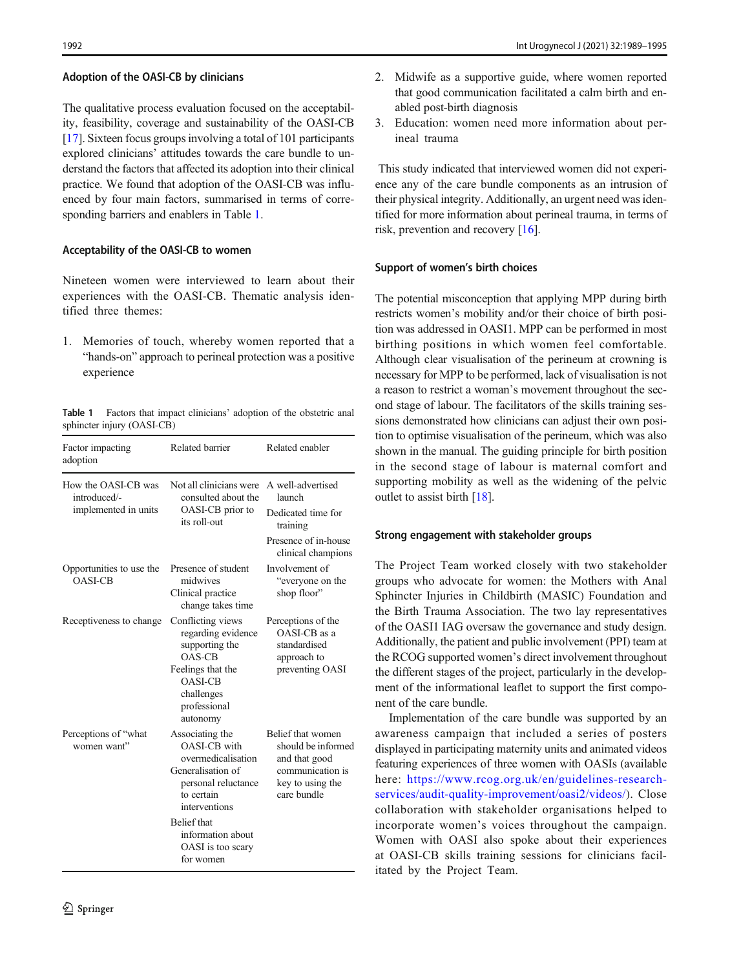#### Adoption of the OASI-CB by clinicians

The qualitative process evaluation focused on the acceptability, feasibility, coverage and sustainability of the OASI-CB [\[17\]](#page-6-0). Sixteen focus groups involving a total of 101 participants explored clinicians' attitudes towards the care bundle to understand the factors that affected its adoption into their clinical practice. We found that adoption of the OASI-CB was influenced by four main factors, summarised in terms of corresponding barriers and enablers in Table 1.

#### Acceptability of the OASI-CB to women

Nineteen women were interviewed to learn about their experiences with the OASI-CB. Thematic analysis identified three themes:

1. Memories of touch, whereby women reported that a "hands-on" approach to perineal protection was a positive experience

Table 1 Factors that impact clinicians' adoption of the obstetric anal sphincter injury (OASI-CB)

| Factor impacting<br>adoption                                | Related barrier                                                                                                                                        | Related enabler                                                                                                 |
|-------------------------------------------------------------|--------------------------------------------------------------------------------------------------------------------------------------------------------|-----------------------------------------------------------------------------------------------------------------|
| How the OASI-CB was<br>introduced/-<br>implemented in units | Not all clinicians were<br>consulted about the<br>OASI-CB prior to<br>its roll-out                                                                     | A well-advertised<br>launch<br>Dedicated time for<br>training<br>Presence of in-house<br>clinical champions     |
| Opportunities to use the<br><b>OASI-CB</b>                  | Presence of student<br>midwives<br>Clinical practice<br>change takes time                                                                              | Involvement of<br>"everyone on the<br>shop floor"                                                               |
| Receptiveness to change                                     | Conflicting views<br>regarding evidence<br>supporting the<br>$OAS-CB$<br>Feelings that the<br><b>OASI-CB</b><br>challenges<br>professional<br>autonomy | Perceptions of the<br>OASI-CB as a<br>standardised<br>approach to<br>preventing OASI                            |
| Perceptions of "what<br>women want"                         | Associating the<br>OASI-CB with<br>overmedicalisation<br>Generalisation of<br>personal reluctance<br>to certain<br>interventions                       | Belief that women<br>should be informed<br>and that good<br>communication is<br>key to using the<br>care bundle |
|                                                             | <b>Belief</b> that<br>information about<br>OASI is too scary<br>for women                                                                              |                                                                                                                 |

- 2. Midwife as a supportive guide, where women reported that good communication facilitated a calm birth and enabled post-birth diagnosis
- 3. Education: women need more information about perineal trauma

This study indicated that interviewed women did not experience any of the care bundle components as an intrusion of their physical integrity. Additionally, an urgent need was identified for more information about perineal trauma, in terms of risk, prevention and recovery [[16\]](#page-6-0).

#### Support of women's birth choices

The potential misconception that applying MPP during birth restricts women's mobility and/or their choice of birth position was addressed in OASI1. MPP can be performed in most birthing positions in which women feel comfortable. Although clear visualisation of the perineum at crowning is necessary for MPP to be performed, lack of visualisation is not a reason to restrict a woman's movement throughout the second stage of labour. The facilitators of the skills training sessions demonstrated how clinicians can adjust their own position to optimise visualisation of the perineum, which was also shown in the manual. The guiding principle for birth position in the second stage of labour is maternal comfort and supporting mobility as well as the widening of the pelvic outlet to assist birth [\[18\]](#page-6-0).

#### Strong engagement with stakeholder groups

The Project Team worked closely with two stakeholder groups who advocate for women: the Mothers with Anal Sphincter Injuries in Childbirth (MASIC) Foundation and the Birth Trauma Association. The two lay representatives of the OASI1 IAG oversaw the governance and study design. Additionally, the patient and public involvement (PPI) team at the RCOG supported women's direct involvement throughout the different stages of the project, particularly in the development of the informational leaflet to support the first component of the care bundle.

Implementation of the care bundle was supported by an awareness campaign that included a series of posters displayed in participating maternity units and animated videos featuring experiences of three women with OASIs (available here: [https://www.rcog.org.uk/en/guidelines-research](https://doi.org/10.1111/147112363)[services/audit-quality-improvement/oasi2/videos/\)](https://doi.org/10.1111/147112363). Close collaboration with stakeholder organisations helped to incorporate women's voices throughout the campaign. Women with OASI also spoke about their experiences at OASI-CB skills training sessions for clinicians facilitated by the Project Team.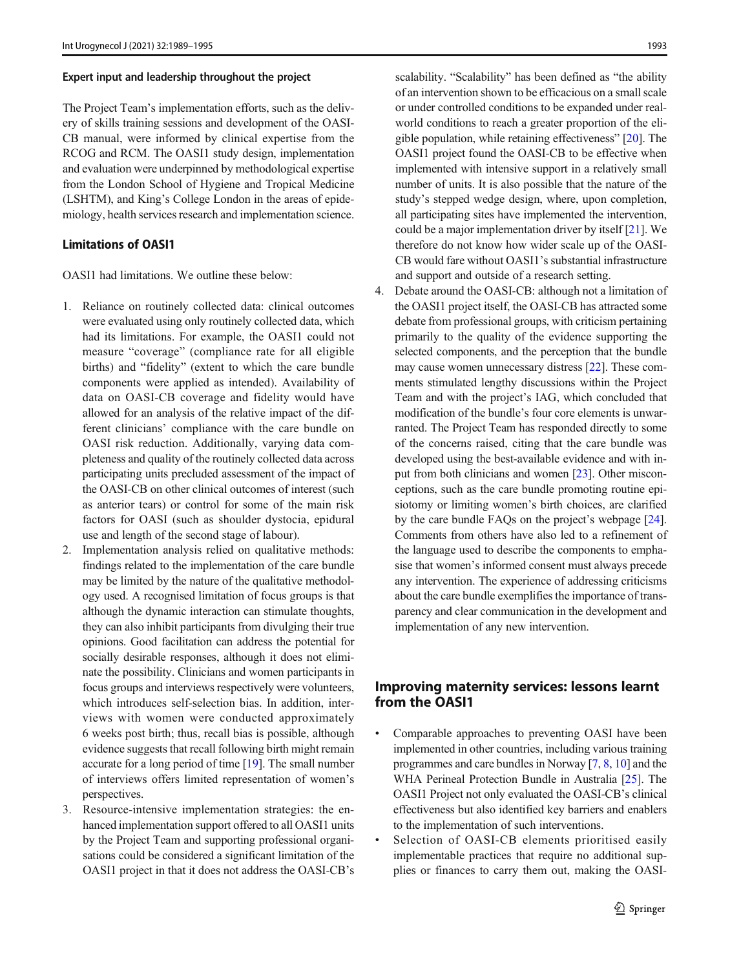#### Expert input and leadership throughout the project

The Project Team's implementation efforts, such as the delivery of skills training sessions and development of the OASI-CB manual, were informed by clinical expertise from the RCOG and RCM. The OASI1 study design, implementation and evaluation were underpinned by methodological expertise from the London School of Hygiene and Tropical Medicine (LSHTM), and King's College London in the areas of epidemiology, health services research and implementation science.

## Limitations of OASI1

OASI1 had limitations. We outline these below:

- 1. Reliance on routinely collected data: clinical outcomes were evaluated using only routinely collected data, which had its limitations. For example, the OASI1 could not measure "coverage" (compliance rate for all eligible births) and "fidelity" (extent to which the care bundle components were applied as intended). Availability of data on OASI-CB coverage and fidelity would have allowed for an analysis of the relative impact of the different clinicians' compliance with the care bundle on OASI risk reduction. Additionally, varying data completeness and quality of the routinely collected data across participating units precluded assessment of the impact of the OASI-CB on other clinical outcomes of interest (such as anterior tears) or control for some of the main risk factors for OASI (such as shoulder dystocia, epidural use and length of the second stage of labour).
- 2. Implementation analysis relied on qualitative methods: findings related to the implementation of the care bundle may be limited by the nature of the qualitative methodology used. A recognised limitation of focus groups is that although the dynamic interaction can stimulate thoughts, they can also inhibit participants from divulging their true opinions. Good facilitation can address the potential for socially desirable responses, although it does not eliminate the possibility. Clinicians and women participants in focus groups and interviews respectively were volunteers, which introduces self-selection bias. In addition, interviews with women were conducted approximately 6 weeks post birth; thus, recall bias is possible, although evidence suggests that recall following birth might remain accurate for a long period of time [\[19\]](#page-6-0). The small number of interviews offers limited representation of women's perspectives.
- 3. Resource-intensive implementation strategies: the enhanced implementation support offered to all OASI1 units by the Project Team and supporting professional organisations could be considered a significant limitation of the OASI1 project in that it does not address the OASI-CB's

scalability. "Scalability" has been defined as "the ability of an intervention shown to be efficacious on a small scale or under controlled conditions to be expanded under realworld conditions to reach a greater proportion of the eligible population, while retaining effectiveness" [\[20](#page-6-0)]. The OASI1 project found the OASI-CB to be effective when implemented with intensive support in a relatively small number of units. It is also possible that the nature of the study's stepped wedge design, where, upon completion, all participating sites have implemented the intervention, could be a major implementation driver by itself [\[21\]](#page-6-0). We therefore do not know how wider scale up of the OASI-CB would fare without OASI1's substantial infrastructure and support and outside of a research setting.

4. Debate around the OASI-CB: although not a limitation of the OASI1 project itself, the OASI-CB has attracted some debate from professional groups, with criticism pertaining primarily to the quality of the evidence supporting the selected components, and the perception that the bundle may cause women unnecessary distress [[22\]](#page-6-0). These comments stimulated lengthy discussions within the Project Team and with the project's IAG, which concluded that modification of the bundle's four core elements is unwarranted. The Project Team has responded directly to some of the concerns raised, citing that the care bundle was developed using the best-available evidence and with input from both clinicians and women [\[23\]](#page-6-0). Other misconceptions, such as the care bundle promoting routine episiotomy or limiting women's birth choices, are clarified by the care bundle FAQs on the project's webpage [[24\]](#page-6-0). Comments from others have also led to a refinement of the language used to describe the components to emphasise that women's informed consent must always precede any intervention. The experience of addressing criticisms about the care bundle exemplifies the importance of transparency and clear communication in the development and implementation of any new intervention.

## Improving maternity services: lessons learnt from the OASI1

- Comparable approaches to preventing OASI have been implemented in other countries, including various training programmes and care bundles in Norway [\[7](#page-6-0), [8](#page-6-0), [10](#page-6-0)] and the WHA Perineal Protection Bundle in Australia [\[25](#page-6-0)]. The OASI1 Project not only evaluated the OASI-CB's clinical effectiveness but also identified key barriers and enablers to the implementation of such interventions.
- Selection of OASI-CB elements prioritised easily implementable practices that require no additional supplies or finances to carry them out, making the OASI-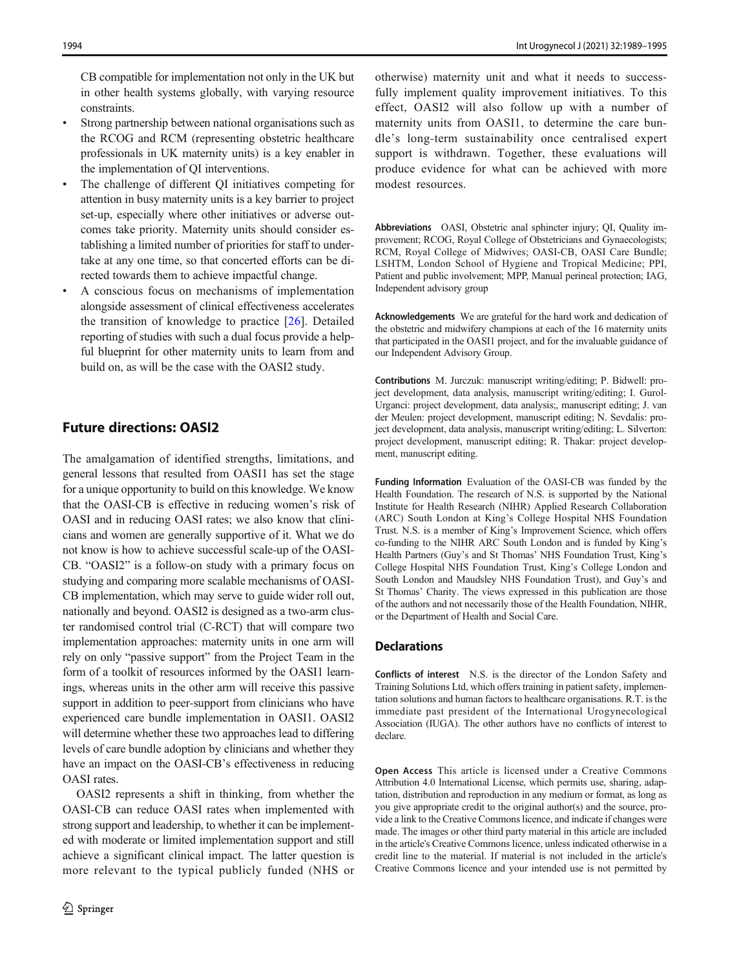CB compatible for implementation not only in the UK but in other health systems globally, with varying resource constraints.

- & Strong partnership between national organisations such as the RCOG and RCM (representing obstetric healthcare professionals in UK maternity units) is a key enabler in the implementation of QI interventions.
- The challenge of different QI initiatives competing for attention in busy maternity units is a key barrier to project set-up, especially where other initiatives or adverse outcomes take priority. Maternity units should consider establishing a limited number of priorities for staff to undertake at any one time, so that concerted efforts can be directed towards them to achieve impactful change.
- & A conscious focus on mechanisms of implementation alongside assessment of clinical effectiveness accelerates the transition of knowledge to practice [\[26](#page-6-0)]. Detailed reporting of studies with such a dual focus provide a helpful blueprint for other maternity units to learn from and build on, as will be the case with the OASI2 study.

## Future directions: OASI2

The amalgamation of identified strengths, limitations, and general lessons that resulted from OASI1 has set the stage for a unique opportunity to build on this knowledge. We know that the OASI-CB is effective in reducing women's risk of OASI and in reducing OASI rates; we also know that clinicians and women are generally supportive of it. What we do not know is how to achieve successful scale-up of the OASI-CB. "OASI2" is a follow-on study with a primary focus on studying and comparing more scalable mechanisms of OASI-CB implementation, which may serve to guide wider roll out, nationally and beyond. OASI2 is designed as a two-arm cluster randomised control trial (C-RCT) that will compare two implementation approaches: maternity units in one arm will rely on only "passive support" from the Project Team in the form of a toolkit of resources informed by the OASI1 learnings, whereas units in the other arm will receive this passive support in addition to peer-support from clinicians who have experienced care bundle implementation in OASI1. OASI2 will determine whether these two approaches lead to differing levels of care bundle adoption by clinicians and whether they have an impact on the OASI-CB's effectiveness in reducing OASI rates.

OASI2 represents a shift in thinking, from whether the OASI-CB can reduce OASI rates when implemented with strong support and leadership, to whether it can be implemented with moderate or limited implementation support and still achieve a significant clinical impact. The latter question is more relevant to the typical publicly funded (NHS or otherwise) maternity unit and what it needs to successfully implement quality improvement initiatives. To this effect, OASI2 will also follow up with a number of maternity units from OASI1, to determine the care bundle's long-term sustainability once centralised expert support is withdrawn. Together, these evaluations will produce evidence for what can be achieved with more modest resources.

Abbreviations OASI, Obstetric anal sphincter injury; QI, Quality improvement; RCOG, Royal College of Obstetricians and Gynaecologists; RCM, Royal College of Midwives; OASI-CB, OASI Care Bundle; LSHTM, London School of Hygiene and Tropical Medicine; PPI, Patient and public involvement; MPP, Manual perineal protection; IAG, Independent advisory group

Acknowledgements We are grateful for the hard work and dedication of the obstetric and midwifery champions at each of the 16 maternity units that participated in the OASI1 project, and for the invaluable guidance of our Independent Advisory Group.

Contributions M. Jurczuk: manuscript writing/editing; P. Bidwell: project development, data analysis, manuscript writing/editing; I. Gurol-Urganci: project development, data analysis;, manuscript editing; J. van der Meulen: project development, manuscript editing; N. Sevdalis: project development, data analysis, manuscript writing/editing; L. Silverton: project development, manuscript editing; R. Thakar: project development, manuscript editing.

Funding Information Evaluation of the OASI-CB was funded by the Health Foundation. The research of N.S. is supported by the National Institute for Health Research (NIHR) Applied Research Collaboration (ARC) South London at King's College Hospital NHS Foundation Trust. N.S. is a member of King's Improvement Science, which offers co-funding to the NIHR ARC South London and is funded by King's Health Partners (Guy's and St Thomas' NHS Foundation Trust, King's College Hospital NHS Foundation Trust, King's College London and South London and Maudsley NHS Foundation Trust), and Guy's and St Thomas' Charity. The views expressed in this publication are those of the authors and not necessarily those of the Health Foundation, NIHR, or the Department of Health and Social Care.

#### **Declarations**

Conflicts of interest N.S. is the director of the London Safety and Training Solutions Ltd, which offers training in patient safety, implementation solutions and human factors to healthcare organisations. R.T. is the immediate past president of the International Urogynecological Association (IUGA). The other authors have no conflicts of interest to declare.

Open Access This article is licensed under a Creative Commons Attribution 4.0 International License, which permits use, sharing, adaptation, distribution and reproduction in any medium or format, as long as you give appropriate credit to the original author(s) and the source, provide a link to the Creative Commons licence, and indicate if changes were made. The images or other third party material in this article are included in the article's Creative Commons licence, unless indicated otherwise in a credit line to the material. If material is not included in the article's Creative Commons licence and your intended use is not permitted by